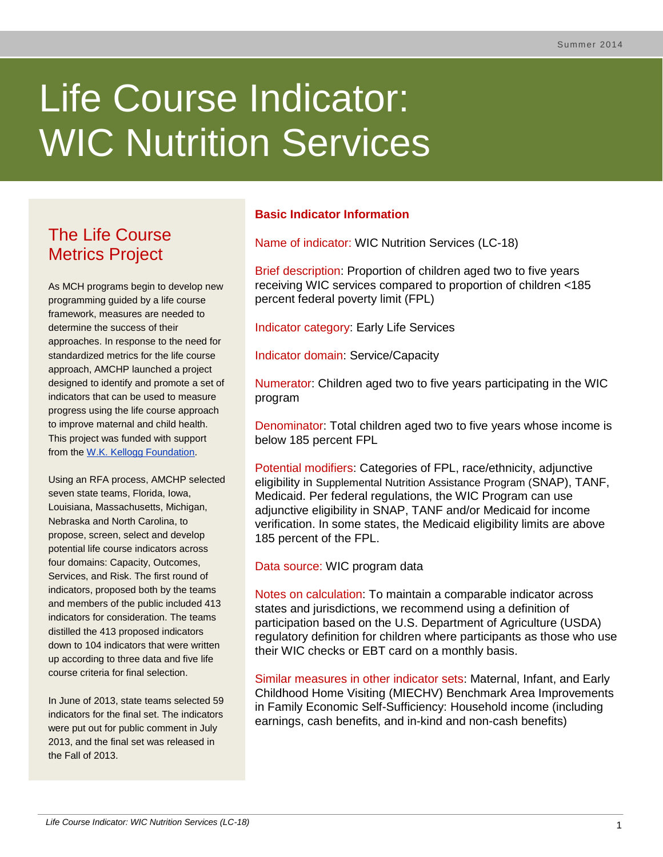# Life Course Indicator: WIC Nutrition Services

# The Life Course Metrics Project

As MCH programs begin to develop new programming guided by a life course framework, measures are needed to determine the success of their approaches. In response to the need for standardized metrics for the life course approach, AMCHP launched a project designed to identify and promote a set of indicators that can be used to measure progress using the life course approach to improve maternal and child health. This project was funded with support from the [W.K. Kellogg Foundation.](http://www.wkkf.org/)

Using an RFA process, AMCHP selected seven state teams, Florida, Iowa, Louisiana, Massachusetts, Michigan, Nebraska and North Carolina, to propose, screen, select and develop potential life course indicators across four domains: Capacity, Outcomes, Services, and Risk. The first round of indicators, proposed both by the teams and members of the public included 413 indicators for consideration. The teams distilled the 413 proposed indicators down to 104 indicators that were written up according to three data and five life course criteria for final selection.

In June of 2013, state teams selected 59 indicators for the final set. The indicators were put out for public comment in July 2013, and the final set was released in the Fall of 2013.

# **Basic Indicator Information**

Name of indicator: WIC Nutrition Services (LC-18)

Brief description: Proportion of children aged two to five years receiving WIC services compared to proportion of children <185 percent federal poverty limit (FPL)

Indicator category: Early Life Services

Indicator domain: Service/Capacity

Numerator: Children aged two to five years participating in the WIC program

Denominator: Total children aged two to five years whose income is below 185 percent FPL

Potential modifiers: Categories of FPL, race/ethnicity, adjunctive eligibility in Supplemental Nutrition Assistance Program (SNAP), TANF, Medicaid. Per federal regulations, the WIC Program can use adjunctive eligibility in SNAP, TANF and/or Medicaid for income verification. In some states, the Medicaid eligibility limits are above 185 percent of the FPL.

Data source: WIC program data

Notes on calculation: To maintain a comparable indicator across states and jurisdictions, we recommend using a definition of participation based on the U.S. Department of Agriculture (USDA) regulatory definition for children where participants as those who use their WIC checks or EBT card on a monthly basis.

Similar measures in other indicator sets: Maternal, Infant, and Early Childhood Home Visiting (MIECHV) Benchmark Area Improvements in Family Economic Self-Sufficiency: Household income (including earnings, cash benefits, and in-kind and non-cash benefits)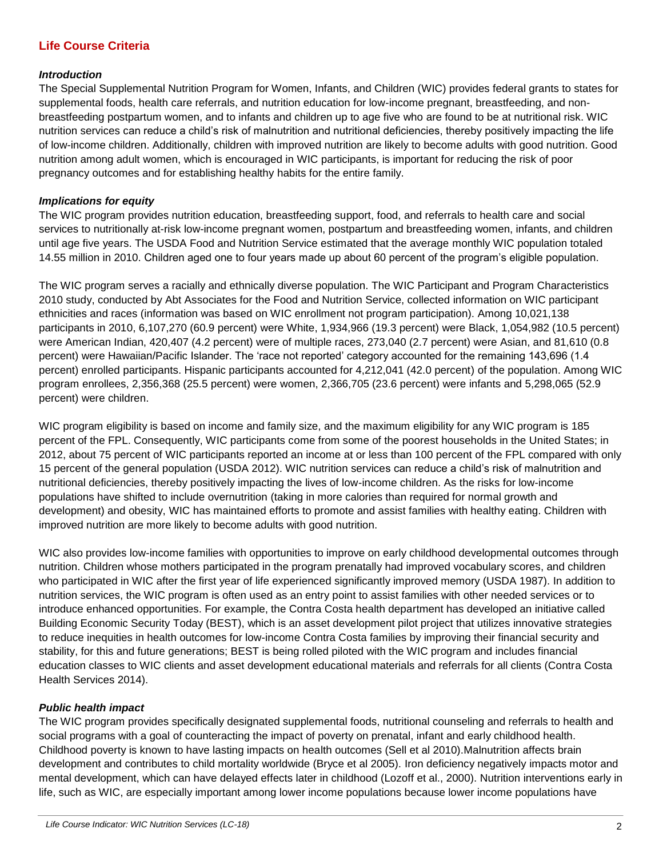# **Life Course Criteria**

#### *Introduction*

The Special Supplemental Nutrition Program for Women, Infants, and Children (WIC) provides federal grants to states for supplemental foods, health care referrals, and nutrition education for low-income pregnant, breastfeeding, and nonbreastfeeding postpartum women, and to infants and children up to age five who are found to be at nutritional risk. WIC nutrition services can reduce a child's risk of malnutrition and nutritional deficiencies, thereby positively impacting the life of low-income children. Additionally, children with improved nutrition are likely to become adults with good nutrition. Good nutrition among adult women, which is encouraged in WIC participants, is important for reducing the risk of poor pregnancy outcomes and for establishing healthy habits for the entire family.

#### *Implications for equity*

The WIC program provides nutrition education, breastfeeding support, food, and referrals to health care and social services to nutritionally at-risk low-income pregnant women, postpartum and breastfeeding women, infants, and children until age five years. The USDA Food and Nutrition Service estimated that the average monthly WIC population totaled 14.55 million in 2010. Children aged one to four years made up about 60 percent of the program's eligible population.

The WIC program serves a racially and ethnically diverse population. The WIC Participant and Program Characteristics 2010 study, conducted by Abt Associates for the Food and Nutrition Service, collected information on WIC participant ethnicities and races (information was based on WIC enrollment not program participation). Among 10,021,138 participants in 2010, 6,107,270 (60.9 percent) were White, 1,934,966 (19.3 percent) were Black, 1,054,982 (10.5 percent) were American Indian, 420,407 (4.2 percent) were of multiple races, 273,040 (2.7 percent) were Asian, and 81,610 (0.8 percent) were Hawaiian/Pacific Islander. The 'race not reported' category accounted for the remaining 143,696 (1.4 percent) enrolled participants. Hispanic participants accounted for 4,212,041 (42.0 percent) of the population. Among WIC program enrollees, 2,356,368 (25.5 percent) were women, 2,366,705 (23.6 percent) were infants and 5,298,065 (52.9 percent) were children.

WIC program eligibility is based on income and family size, and the maximum eligibility for any WIC program is 185 percent of the FPL. Consequently, WIC participants come from some of the poorest households in the United States; in 2012, about 75 percent of WIC participants reported an income at or less than 100 percent of the FPL compared with only 15 percent of the general population (USDA 2012). WIC nutrition services can reduce a child's risk of malnutrition and nutritional deficiencies, thereby positively impacting the lives of low-income children. As the risks for low-income populations have shifted to include overnutrition (taking in more calories than required for normal growth and development) and obesity, WIC has maintained efforts to promote and assist families with healthy eating. Children with improved nutrition are more likely to become adults with good nutrition.

WIC also provides low-income families with opportunities to improve on early childhood developmental outcomes through nutrition. Children whose mothers participated in the program prenatally had improved vocabulary scores, and children who participated in WIC after the first year of life experienced significantly improved memory (USDA 1987). In addition to nutrition services, the WIC program is often used as an entry point to assist families with other needed services or to introduce enhanced opportunities. For example, the Contra Costa health department has developed an initiative called Building Economic Security Today (BEST), which is an asset development pilot project that utilizes innovative strategies to reduce inequities in health outcomes for low-income Contra Costa families by improving their financial security and stability, for this and future generations; BEST is being rolled piloted with the WIC program and includes financial education classes to WIC clients and asset development educational materials and referrals for all clients (Contra Costa Health Services 2014).

#### *Public health impact*

The WIC program provides specifically designated supplemental foods, nutritional counseling and referrals to health and social programs with a goal of counteracting the impact of poverty on prenatal, infant and early childhood health. Childhood poverty is known to have lasting impacts on health outcomes (Sell et al 2010).Malnutrition affects brain development and contributes to child mortality worldwide (Bryce et al 2005). Iron deficiency negatively impacts motor and mental development, which can have delayed effects later in childhood (Lozoff et al., 2000). Nutrition interventions early in life, such as WIC, are especially important among lower income populations because lower income populations have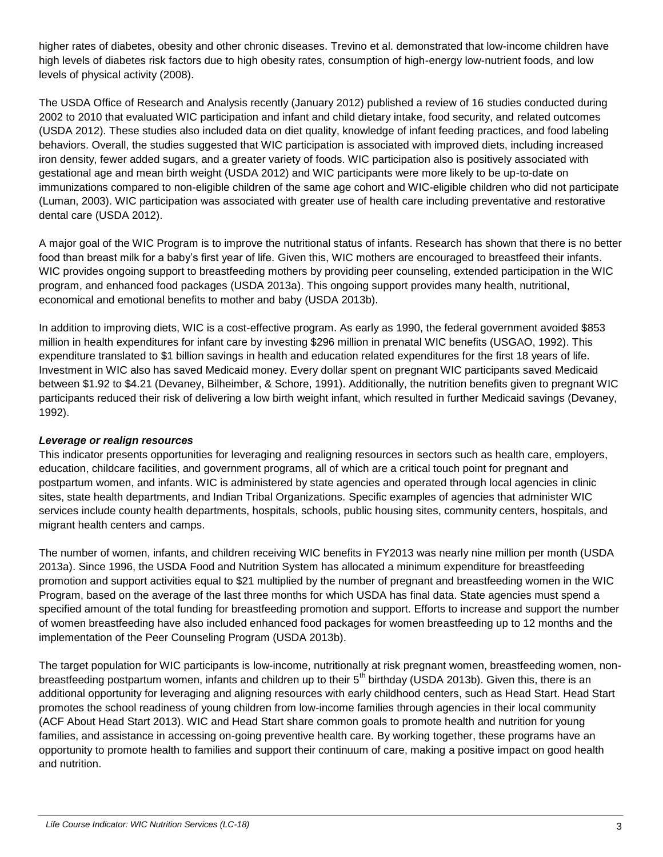higher rates of diabetes, obesity and other chronic diseases. Trevino et al. demonstrated that low-income children have high levels of diabetes risk factors due to high obesity rates, consumption of high-energy low-nutrient foods, and low levels of physical activity (2008).

The USDA Office of Research and Analysis recently (January 2012) published a review of 16 studies conducted during 2002 to 2010 that evaluated WIC participation and infant and child dietary intake, food security, and related outcomes (USDA 2012). These studies also included data on diet quality, knowledge of infant feeding practices, and food labeling behaviors. Overall, the studies suggested that WIC participation is associated with improved diets, including increased iron density, fewer added sugars, and a greater variety of foods. WIC participation also is positively associated with gestational age and mean birth weight (USDA 2012) and WIC participants were more likely to be up-to-date on immunizations compared to non-eligible children of the same age cohort and WIC-eligible children who did not participate (Luman, 2003). WIC participation was associated with greater use of health care including preventative and restorative dental care (USDA 2012).

A major goal of the WIC Program is to improve the nutritional status of infants. Research has shown that there is no better food than breast milk for a baby's first year of life. Given this, WIC mothers are encouraged to breastfeed their infants. WIC provides ongoing support to breastfeeding mothers by providing peer counseling, extended participation in the WIC program, and enhanced food packages (USDA 2013a). This ongoing support provides many health, nutritional, economical and emotional benefits to mother and baby (USDA 2013b).

In addition to improving diets, WIC is a cost-effective program. As early as 1990, the federal government avoided \$853 million in health expenditures for infant care by investing \$296 million in prenatal WIC benefits (USGAO, 1992). This expenditure translated to \$1 billion savings in health and education related expenditures for the first 18 years of life. Investment in WIC also has saved Medicaid money. Every dollar spent on pregnant WIC participants saved Medicaid between \$1.92 to \$4.21 (Devaney, Bilheimber, & Schore, 1991). Additionally, the nutrition benefits given to pregnant WIC participants reduced their risk of delivering a low birth weight infant, which resulted in further Medicaid savings (Devaney, 1992).

## *Leverage or realign resources*

This indicator presents opportunities for leveraging and realigning resources in sectors such as health care, employers, education, childcare facilities, and government programs, all of which are a critical touch point for pregnant and postpartum women, and infants. WIC is administered by state agencies and operated through local agencies in clinic sites, state health departments, and Indian Tribal Organizations. Specific examples of agencies that administer WIC services include county health departments, hospitals, schools, public housing sites, community centers, hospitals, and migrant health centers and camps.

The number of women, infants, and children receiving WIC benefits in FY2013 was nearly nine million per month (USDA 2013a). Since 1996, the USDA Food and Nutrition System has allocated a minimum expenditure for breastfeeding promotion and support activities equal to \$21 multiplied by the number of pregnant and breastfeeding women in the WIC Program, based on the average of the last three months for which USDA has final data. State agencies must spend a specified amount of the total funding for breastfeeding promotion and support. Efforts to increase and support the number of women breastfeeding have also included enhanced food packages for women breastfeeding up to 12 months and the implementation of the Peer Counseling Program (USDA 2013b).

The target population for WIC participants is low-income, nutritionally at risk pregnant women, breastfeeding women, nonbreastfeeding postpartum women, infants and children up to their 5<sup>th</sup> birthday (USDA 2013b). Given this, there is an additional opportunity for leveraging and aligning resources with early childhood centers, such as Head Start. Head Start promotes the school readiness of young children from low-income families through agencies in their local community (ACF About Head Start 2013). WIC and Head Start share common goals to promote health and nutrition for young families, and assistance in accessing on-going preventive health care. By working together, these programs have an opportunity to promote health to families and support their continuum of care, making a positive impact on good health and nutrition.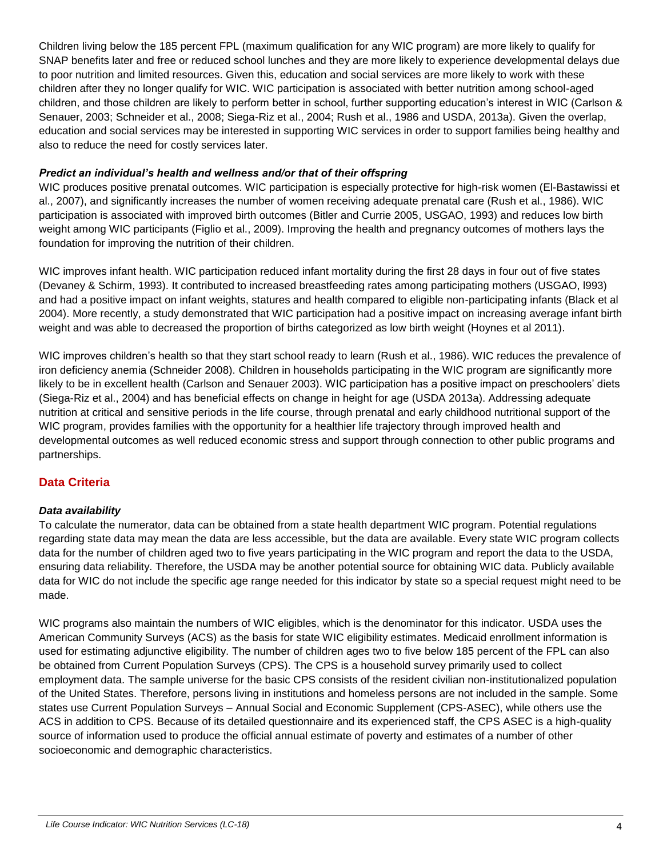Children living below the 185 percent FPL (maximum qualification for any WIC program) are more likely to qualify for SNAP benefits later and free or reduced school lunches and they are more likely to experience developmental delays due to poor nutrition and limited resources. Given this, education and social services are more likely to work with these children after they no longer qualify for WIC. WIC participation is associated with better nutrition among school-aged children, and those children are likely to perform better in school, further supporting education's interest in WIC (Carlson & Senauer, 2003; Schneider et al., 2008; Siega-Riz et al., 2004; Rush et al., 1986 and USDA, 2013a). Given the overlap, education and social services may be interested in supporting WIC services in order to support families being healthy and also to reduce the need for costly services later.

#### *Predict an individual's health and wellness and/or that of their offspring*

WIC produces positive prenatal outcomes. WIC participation is especially protective for high-risk women (El-Bastawissi et al., 2007), and significantly increases the number of women receiving adequate prenatal care (Rush et al., 1986). WIC participation is associated with improved birth outcomes (Bitler and Currie 2005, USGAO, 1993) and reduces low birth weight among WIC participants (Figlio et al., 2009). Improving the health and pregnancy outcomes of mothers lays the foundation for improving the nutrition of their children.

WIC improves infant health. WIC participation reduced infant mortality during the first 28 days in four out of five states (Devaney & Schirm, 1993). It contributed to increased breastfeeding rates among participating mothers (USGAO, l993) and had a positive impact on infant weights, statures and health compared to eligible non-participating infants (Black et al 2004). More recently, a study demonstrated that WIC participation had a positive impact on increasing average infant birth weight and was able to decreased the proportion of births categorized as low birth weight (Hoynes et al 2011).

WIC improves children's health so that they start school ready to learn (Rush et al., 1986). WIC reduces the prevalence of iron deficiency anemia (Schneider 2008). Children in households participating in the WIC program are significantly more likely to be in excellent health (Carlson and Senauer 2003). WIC participation has a positive impact on preschoolers' diets (Siega-Riz et al., 2004) and has beneficial effects on change in height for age (USDA 2013a). Addressing adequate nutrition at critical and sensitive periods in the life course, through prenatal and early childhood nutritional support of the WIC program, provides families with the opportunity for a healthier life trajectory through improved health and developmental outcomes as well reduced economic stress and support through connection to other public programs and partnerships.

# **Data Criteria**

## *Data availability*

To calculate the numerator, data can be obtained from a state health department WIC program. Potential regulations regarding state data may mean the data are less accessible, but the data are available. Every state WIC program collects data for the number of children aged two to five years participating in the WIC program and report the data to the USDA, ensuring data reliability. Therefore, the USDA may be another potential source for obtaining WIC data. Publicly available data for WIC do not include the specific age range needed for this indicator by state so a special request might need to be made.

WIC programs also maintain the numbers of WIC eligibles, which is the denominator for this indicator. USDA uses the American Community Surveys (ACS) as the basis for state WIC eligibility estimates. Medicaid enrollment information is used for estimating adjunctive eligibility. The number of children ages two to five below 185 percent of the FPL can also be obtained from Current Population Surveys (CPS). The CPS is a household survey primarily used to collect employment data. The sample universe for the basic CPS consists of the resident civilian non-institutionalized population of the United States. Therefore, persons living in institutions and homeless persons are not included in the sample. Some states use Current Population Surveys – Annual Social and Economic Supplement (CPS-ASEC), while others use the ACS in addition to CPS. Because of its detailed questionnaire and its experienced staff, the CPS ASEC is a high-quality source of information used to produce the official annual estimate of poverty and estimates of a number of other socioeconomic and demographic characteristics.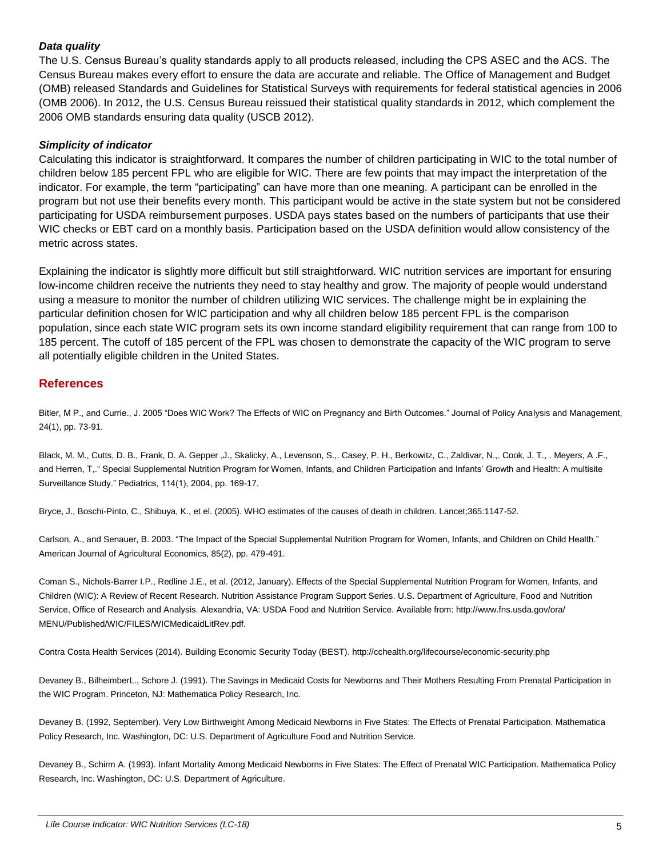#### *Data quality*

The U.S. Census Bureau's quality standards apply to all products released, including the CPS ASEC and the ACS. The Census Bureau makes every effort to ensure the data are accurate and reliable. The Office of Management and Budget (OMB) released Standards and Guidelines for Statistical Surveys with requirements for federal statistical agencies in 2006 (OMB 2006). In 2012, the U.S. Census Bureau reissued their statistical quality standards in 2012, which complement the 2006 OMB standards ensuring data quality (USCB 2012).

#### *Simplicity of indicator*

Calculating this indicator is straightforward. It compares the number of children participating in WIC to the total number of children below 185 percent FPL who are eligible for WIC. There are few points that may impact the interpretation of the indicator. For example, the term "participating" can have more than one meaning. A participant can be enrolled in the program but not use their benefits every month. This participant would be active in the state system but not be considered participating for USDA reimbursement purposes. USDA pays states based on the numbers of participants that use their WIC checks or EBT card on a monthly basis. Participation based on the USDA definition would allow consistency of the metric across states.

Explaining the indicator is slightly more difficult but still straightforward. WIC nutrition services are important for ensuring low-income children receive the nutrients they need to stay healthy and grow. The majority of people would understand using a measure to monitor the number of children utilizing WIC services. The challenge might be in explaining the particular definition chosen for WIC participation and why all children below 185 percent FPL is the comparison population, since each state WIC program sets its own income standard eligibility requirement that can range from 100 to 185 percent. The cutoff of 185 percent of the FPL was chosen to demonstrate the capacity of the WIC program to serve all potentially eligible children in the United States.

# **References**

Bitler, M P., and Currie., J. 2005 "Does WIC Work? The Effects of WIC on Pregnancy and Birth Outcomes." Journal of Policy Analysis and Management, 24(1), pp. 73-91.

Black, M. M., Cutts, D. B., Frank, D. A. Gepper ,J., Skalicky, A., Levenson, S.,. Casey, P. H., Berkowitz, C., Zaldivar, N.,. Cook, J. T., . Meyers, A .F., and Herren, T,." Special Supplemental Nutrition Program for Women, Infants, and Children Participation and Infants' Growth and Health: A multisite Surveillance Study." Pediatrics, 114(1), 2004, pp. 169-17.

Bryce, J., Boschi-Pinto, C., Shibuya, K., et el. (2005). WHO estimates of the causes of death in children. Lancet;365:1147-52.

Carlson, A., and Senauer, B. 2003. "The Impact of the Special Supplemental Nutrition Program for Women, Infants, and Children on Child Health." American Journal of Agricultural Economics, 85(2), pp. 479-491.

Coman S., Nichols-Barrer I.P., Redline J.E., et al. (2012, January). Effects of the Special Supplemental Nutrition Program for Women, Infants, and Children (WIC): A Review of Recent Research. Nutrition Assistance Program Support Series. U.S. Department of Agriculture, Food and Nutrition Service, Office of Research and Analysis. Alexandria, VA: USDA Food and Nutrition Service. Available from: http://www.fns.usda.gov/ora/ MENU/Published/WIC/FILES/WICMedicaidLitRev.pdf.

Contra Costa Health Services (2014). Building Economic Security Today (BEST). http://cchealth.org/lifecourse/economic-security.php

Devaney B., BilheimberL., Schore J. (1991). The Savings in Medicaid Costs for Newborns and Their Mothers Resulting From Prenatal Participation in the WIC Program. Princeton, NJ: Mathematica Policy Research, Inc.

Devaney B. (1992, September). Very Low Birthweight Among Medicaid Newborns in Five States: The Effects of Prenatal Participation. Mathematica Policy Research, Inc. Washington, DC: U.S. Department of Agriculture Food and Nutrition Service.

Devaney B., Schirm A. (1993). Infant Mortality Among Medicaid Newborns in Five States: The Effect of Prenatal WIC Participation. Mathematica Policy Research, Inc. Washington, DC: U.S. Department of Agriculture.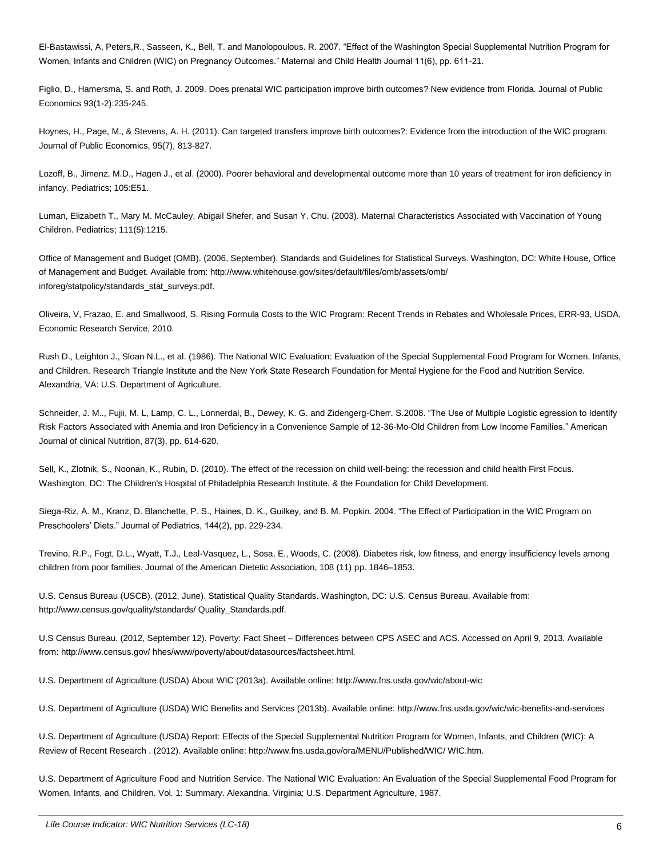El-Bastawissi, A, Peters,R., Sasseen, K., Bell, T. and Manolopoulous. R. 2007. "Effect of the Washington Special Supplemental Nutrition Program for Women, Infants and Children (WIC) on Pregnancy Outcomes." Maternal and Child Health Journal 11(6), pp. 611-21.

Figlio, D., Hamersma, S. and Roth, J. 2009. Does prenatal WIC participation improve birth outcomes? New evidence from Florida. Journal of Public Economics 93(1-2):235-245.

Hoynes, H., Page, M., & Stevens, A. H. (2011). Can targeted transfers improve birth outcomes?: Evidence from the introduction of the WIC program. Journal of Public Economics, 95(7), 813-827.

Lozoff, B., Jimenz, M.D., Hagen J., et al. (2000). Poorer behavioral and developmental outcome more than 10 years of treatment for iron deficiency in infancy. Pediatrics; 105:E51.

Luman, Elizabeth T., Mary M. McCauley, Abigail Shefer, and Susan Y. Chu. (2003). Maternal Characteristics Associated with Vaccination of Young Children. Pediatrics; 111(5):1215.

Office of Management and Budget (OMB). (2006, September). Standards and Guidelines for Statistical Surveys. Washington, DC: White House, Office of Management and Budget. Available from: http://www.whitehouse.gov/sites/default/files/omb/assets/omb/ inforeg/statpolicy/standards\_stat\_surveys.pdf.

Oliveira, V, Frazao, E. and Smallwood, S. Rising Formula Costs to the WIC Program: Recent Trends in Rebates and Wholesale Prices, ERR-93, USDA, Economic Research Service, 2010.

Rush D., Leighton J., Sloan N.L., et al. (1986). The National WIC Evaluation: Evaluation of the Special Supplemental Food Program for Women, Infants, and Children. Research Triangle Institute and the New York State Research Foundation for Mental Hygiene for the Food and Nutrition Service. Alexandria, VA: U.S. Department of Agriculture.

Schneider, J. M.., Fujii, M. L, Lamp, C. L., Lonnerdal, B., Dewey, K. G. and Zidengerg-Cherr. S.2008. "The Use of Multiple Logistic egression to Identify Risk Factors Associated with Anemia and Iron Deficiency in a Convenience Sample of 12-36-Mo-Old Children from Low Income Families." American Journal of clinical Nutrition, 87(3), pp. 614-620.

Sell, K., Zlotnik, S., Noonan, K., Rubin, D. (2010). The effect of the recession on child well-being: the recession and child health First Focus. Washington, DC: The Children's Hospital of Philadelphia Research Institute, & the Foundation for Child Development.

Siega-Riz, A. M., Kranz, D. Blanchette, P. S., Haines, D. K., Guilkey, and B. M. Popkin. 2004. "The Effect of Participation in the WIC Program on Preschoolers' Diets." Journal of Pediatrics, 144(2), pp. 229-234.

Trevino, R.P., Fogt, D.L., Wyatt, T.J., Leal-Vasquez, L., Sosa, E., Woods, C. (2008). Diabetes risk, low fitness, and energy insufficiency levels among children from poor families. Journal of the American Dietetic Association, 108 (11) pp. 1846–1853.

U.S. Census Bureau (USCB). (2012, June). Statistical Quality Standards. Washington, DC: U.S. Census Bureau. Available from: http://www.census.gov/quality/standards/ Quality\_Standards.pdf.

U.S Census Bureau. (2012, September 12). Poverty: Fact Sheet – Differences between CPS ASEC and ACS. Accessed on April 9, 2013. Available from: http://www.census.gov/ hhes/www/poverty/about/datasources/factsheet.html.

U.S. Department of Agriculture (USDA) About WIC (2013a). Available online: http://www.fns.usda.gov/wic/about-wic

U.S. Department of Agriculture (USDA) WIC Benefits and Services (2013b). Available online: http://www.fns.usda.gov/wic/wic-benefits-and-services

U.S. Department of Agriculture (USDA) Report: Effects of the Special Supplemental Nutrition Program for Women, Infants, and Children (WIC): A Review of Recent Research . (2012). Available online: http://www.fns.usda.gov/ora/MENU/Published/WIC/ WIC.htm.

U.S. Department of Agriculture Food and Nutrition Service. The National WIC Evaluation: An Evaluation of the Special Supplemental Food Program for Women, Infants, and Children. Vol. 1: Summary. Alexandria, Virginia: U.S. Department Agriculture, 1987.